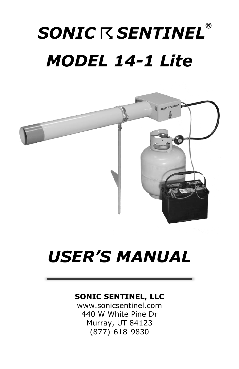# **SONIC**  $R$  **SENTINEL<sup>®</sup>** *MODEL 14-1 Lite*



# *USER'S MANUAL*

#### **SONIC SENTINEL, LLC**

www.sonicsentinel.com 440 W White Pine Dr Murray, UT 84123 (877)-618-9830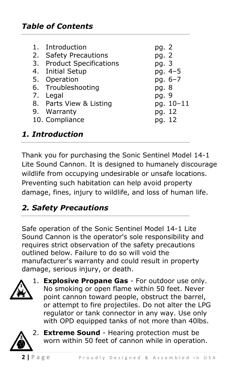|  | 1. Introduction<br>2. Safety Precautions<br>3. Product Specifications<br>4. Initial Setup<br>5. Operation<br>6. Troubleshooting<br>7. Legal<br>8. Parts View & Listing<br>9. Warranty<br>10. Compliance | pg. 2<br>pg. 2<br>pg. 3<br>pg. 8<br>pg. 9<br>pg. 12<br>pg. 12 | pg. 4-5<br>pg. 6-7<br>pg. 10-11 |
|--|---------------------------------------------------------------------------------------------------------------------------------------------------------------------------------------------------------|---------------------------------------------------------------|---------------------------------|
|--|---------------------------------------------------------------------------------------------------------------------------------------------------------------------------------------------------------|---------------------------------------------------------------|---------------------------------|

#### *1. Introduction*

Thank you for purchasing the Sonic Sentinel Model 14-1 Lite Sound Cannon. It is designed to humanely discourage wildlife from occupying undesirable or unsafe locations. Preventing such habitation can help avoid property damage, fines, injury to wildlife, and loss of human life.

# *2. Safety Precautions*

Safe operation of the Sonic Sentinel Model 14-1 Lite Sound Cannon is the operator's sole responsibility and requires strict observation of the safety precautions outlined below. Failure to do so will void the manufacturer's warranty and could result in property damage, serious injury, or death.



1. **Explosive Propane Gas** - For outdoor use only. No smoking or open flame within 50 feet. Never point cannon toward people, obstruct the barrel, or attempt to fire projectiles. Do not alter the LPG regulator or tank connector in any way. Use only with OPD equipped tanks of not more than 40lbs.



2. **Extreme Sound** - Hearing protection must be worn within 50 feet of cannon while in operation.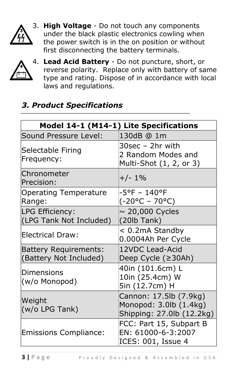

3. **High Voltage** - Do not touch any components under the black plastic electronics cowling when the power switch is in the on position or without first disconnecting the battery terminals.



4. **Lead Acid Battery** - Do not puncture, short, or reverse polarity. Replace only with battery of same type and rating. Dispose of in accordance with local laws and regulations.

### *3. Product Specifications*

| Model 14-1 (M14-1) Lite Specifications                 |                                                                               |  |  |  |  |
|--------------------------------------------------------|-------------------------------------------------------------------------------|--|--|--|--|
| Sound Pressure Level:                                  | 130dB @ 1m                                                                    |  |  |  |  |
| Selectable Firing<br>Frequency:                        | 30sec - 2hr with<br>2 Random Modes and<br>Multi-Shot (1, 2, or 3)             |  |  |  |  |
| Chronometer<br>Precision:                              | $+/- 1\%$                                                                     |  |  |  |  |
| <b>Operating Temperature</b><br>Range:                 | -5°F – 140°F<br>$(-20°C - 70°C)$                                              |  |  |  |  |
| LPG Efficiency:<br>(LPG Tank Not Included)             | $\sim$ 20,000 Cycles<br>$(20$ lb Tank)                                        |  |  |  |  |
| <b>Electrical Draw:</b>                                | $< 0.2$ mA Standby<br>0.0004Ah Per Cycle                                      |  |  |  |  |
| <b>Battery Requirements:</b><br>(Battery Not Included) | 12VDC Lead-Acid<br>Deep Cycle (≥30Ah)                                         |  |  |  |  |
| Dimensions<br>(w/o Monopod)                            | 40in (101.6cm) L<br>10in (25.4cm) W<br>5in (12.7cm) H                         |  |  |  |  |
| Weight<br>(w/o LPG Tank)                               | Cannon: 17.5lb (7.9kg)<br>Monopod: 3.0lb (1.4kg)<br>Shipping: 27.0lb (12.2kg) |  |  |  |  |
| <b>Emissions Compliance:</b>                           | FCC: Part 15, Subpart B<br>EN: 61000-6-3:2007<br><b>ICES: 001, Issue 4</b>    |  |  |  |  |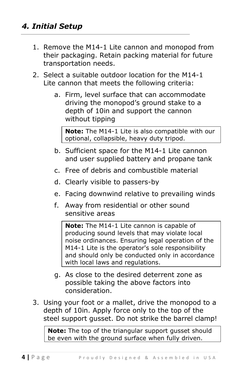- 1. Remove the M14-1 Lite cannon and monopod from their packaging. Retain packing material for future transportation needs.
- 2. Select a suitable outdoor location for the M14-1 Lite cannon that meets the following criteria:
	- a. Firm, level surface that can accommodate driving the monopod's ground stake to a depth of 10in and support the cannon without tipping

**Note:** The M14-1 Lite is also compatible with our optional, collapsible, heavy duty tripod.

- b. Sufficient space for the M14-1 Lite cannon and user supplied battery and propane tank
- c. Free of debris and combustible material
- d. Clearly visible to passers-by
- e. Facing downwind relative to prevailing winds
- f. Away from residential or other sound sensitive areas

**Note:** The M14-1 Lite cannon is capable of producing sound levels that may violate local noise ordinances. Ensuring legal operation of the M14-1 Lite is the operator's sole responsibility and should only be conducted only in accordance with local laws and regulations.

- g. As close to the desired deterrent zone as possible taking the above factors into consideration.
- 3. Using your foot or a mallet, drive the monopod to a depth of 10in. Apply force only to the top of the steel support gusset. Do not strike the barrel clamp!

**Note:** The top of the triangular support gusset should be even with the ground surface when fully driven.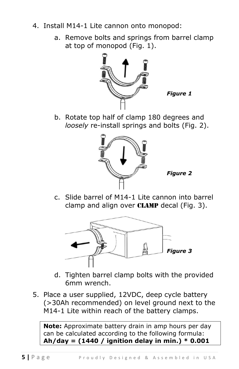- 4. Install M14-1 Lite cannon onto monopod:
	- a. Remove bolts and springs from barrel clamp at top of monopod (Fig. 1).



*Figure 1*

b. Rotate top half of clamp 180 degrees and *loosely* re-install springs and bolts (Fig. 2).



*Figure 2*

c. Slide barrel of M14-1 Lite cannon into barrel clamp and align over CLAMP decal (Fig. 3).



- d. Tighten barrel clamp bolts with the provided 6mm wrench.
- 5. Place a user supplied, 12VDC, deep cycle battery (>30Ah recommended) on level ground next to the M14-1 Lite within reach of the battery clamps.

**Note:** Approximate battery drain in amp hours per day can be calculated according to the following formula: **Ah/day = (1440 / ignition delay in min.) \* 0.001**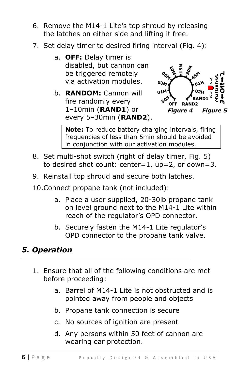- 6. Remove the M14-1 Lite's top shroud by releasing the latches on either side and lifting it free.
- 7. Set delay timer to desired firing interval (Fig. 4):
	- a. **OFF:** Delay timer is disabled, but cannon can be triggered remotely via activation modules.
	- b. **RANDOM:** Cannon will fire randomly every 1–10min (**RAND1**) or every 5–30min (**RAND2**).



**Note:** To reduce battery charging intervals, firing frequencies of less than 5min should be avoided in conjunction with our activation modules.

- 8. Set multi-shot switch (right of delay timer, Fig. 5) to desired shot count: center=1, up=2, or down=3.
- 9. Reinstall top shroud and secure both latches.
- 10.Connect propane tank (not included):
	- a. Place a user supplied, 20-30lb propane tank on level ground next to the M14-1 Lite within reach of the regulator's OPD connector.
	- b. Securely fasten the M14-1 Lite regulator's OPD connector to the propane tank valve.

#### *5. Operation*

- 1. Ensure that all of the following conditions are met before proceeding:
	- a. Barrel of M14-1 Lite is not obstructed and is pointed away from people and objects
	- b. Propane tank connection is secure
	- c. No sources of ignition are present
	- d. Any persons within 50 feet of cannon are wearing ear protection.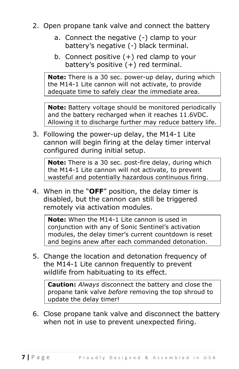- 2. Open propane tank valve and connect the battery
	- a. Connect the negative (-) clamp to your battery's negative (-) black terminal.
	- b. Connect positive (+) red clamp to your battery's positive (+) red terminal.

**Note:** There is a 30 sec. power-up delay, during which the M14-1 Lite cannon will not activate, to provide adequate time to safely clear the immediate area.

**Note:** Battery voltage should be monitored periodically and the battery recharged when it reaches 11.6VDC. Allowing it to discharge further may reduce battery life.

3. Following the power-up delay, the M14-1 Lite cannon will begin firing at the delay timer interval configured during initial setup.

**Note:** There is a 30 sec. post-fire delay, during which the M14-1 Lite cannon will not activate, to prevent wasteful and potentially hazardous continuous firing.

4. When in the "**OFF**" position, the delay timer is disabled, but the cannon can still be triggered remotely via activation modules.

**Note:** When the M14-1 Lite cannon is used in conjunction with any of Sonic Sentinel's activation modules, the delay timer's current countdown is reset and begins anew after each commanded detonation.

5. Change the location and detonation frequency of the M14-1 Lite cannon frequently to prevent wildlife from habituating to its effect.

**Caution:** *Always* disconnect the battery and close the propane tank valve *before* removing the top shroud to update the delay timer!

6. Close propane tank valve and disconnect the battery when not in use to prevent unexpected firing.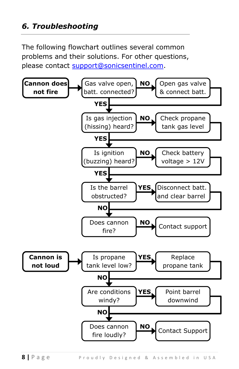The following flowchart outlines several common problems and their solutions. For other questions, please contact [support@sonicsentinel.com.](mailto:support@sonicsentinel.com)

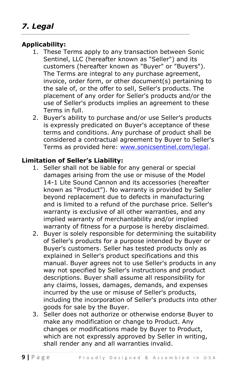#### **Applicability:**

- 1. These Terms apply to any transaction between Sonic Sentinel, LLC (hereafter known as "Seller") and its customers (hereafter known as "Buyer" or "Buyers"). The Terms are integral to any purchase agreement, invoice, order form, or other document(s) pertaining to the sale of, or the offer to sell, Seller's products. The placement of any order for Seller's products and/or the use of Seller's products implies an agreement to these Terms in full.
- 2. Buyer's ability to purchase and/or use Seller's products is expressly predicated on Buyer's acceptance of these terms and conditions. Any purchase of product shall be considered a contractual agreement by Buyer to Seller's Terms as provided here: [www.sonicsentinel.com/legal.](http://www.sonicsentinel.com/legal)

#### **Limitation of Seller's Liability:**

- 1. Seller shall not be liable for any general or special damages arising from the use or misuse of the Model 14-1 Lite Sound Cannon and its accessories (hereafter known as "Product"). No warranty is provided by Seller beyond replacement due to defects in manufacturing and is limited to a refund of the purchase price. Seller's warranty is exclusive of all other warranties, and any implied warranty of merchantability and/or implied warranty of fitness for a purpose is hereby disclaimed.
- 2. Buyer is solely responsible for determining the suitability of Seller's products for a purpose intended by Buyer or Buyer's customers. Seller has tested products only as explained in Seller's product specifications and this manual. Buyer agrees not to use Seller's products in any way not specified by Seller's instructions and product descriptions. Buyer shall assume all responsibility for any claims, losses, damages, demands, and expenses incurred by the use or misuse of Seller's products, including the incorporation of Seller's products into other goods for sale by the Buyer.
- 3. Seller does not authorize or otherwise endorse Buyer to make any modification or change to Product. Any changes or modifications made by Buyer to Product, which are not expressly approved by Seller in writing, shall render any and all warranties invalid.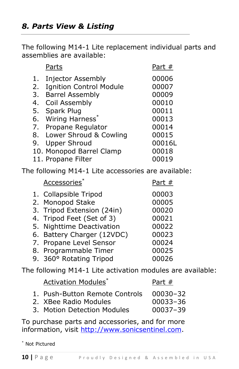The following M14-1 Lite replacement individual parts and assemblies are available:

|    | Parts                          | Part # |
|----|--------------------------------|--------|
|    | 1. Injector Assembly           | 00006  |
| 2. | <b>Ignition Control Module</b> | 00007  |
| 3. | <b>Barrel Assembly</b>         | 00009  |
| 4. | Coil Assembly                  | 00010  |
|    | 5. Spark Plug                  | 00011  |
|    | 6. Wiring Harness <sup>*</sup> | 00013  |
|    | 7. Propane Regulator           | 00014  |
| 8. | Lower Shroud & Cowling         | 00015  |
| 9. | <b>Upper Shroud</b>            | 00016L |
|    | 10. Monopod Barrel Clamp       | 00018  |
|    | 11. Propane Filter             | 00019  |

The following M14-1 Lite accessories are available:

| Accessories*               | Part # |
|----------------------------|--------|
| 1. Collapsible Tripod      | 00003  |
| 2. Monopod Stake           | 00005  |
| 3. Tripod Extension (24in) | 00020  |
| 4. Tripod Feet (Set of 3)  | 00021  |
| 5. Nighttime Deactivation  | 00022  |
| 6. Battery Charger (12VDC) | 00023  |
| 7. Propane Level Sensor    | 00024  |
| 8. Programmable Timer      | 00025  |
| 9. 360° Rotating Tripod    | 00026  |

The following M14-1 Lite activation modules are available:

| <b>Activation Modules</b> *    | Part $#$     |
|--------------------------------|--------------|
| 1. Push-Button Remote Controls | 00030-32     |
| 2. XBee Radio Modules          | 00033-36     |
| 3. Motion Detection Modules    | $00037 - 39$ |
|                                |              |

To purchase parts and accessories, and for more information, visit [http://www.sonicsentinel.com.](http://www.sonicsentinel.com/)

\* Not Pictured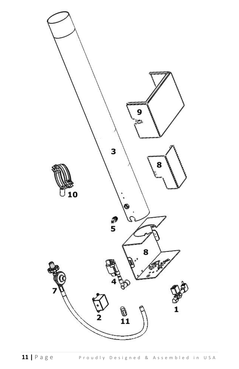